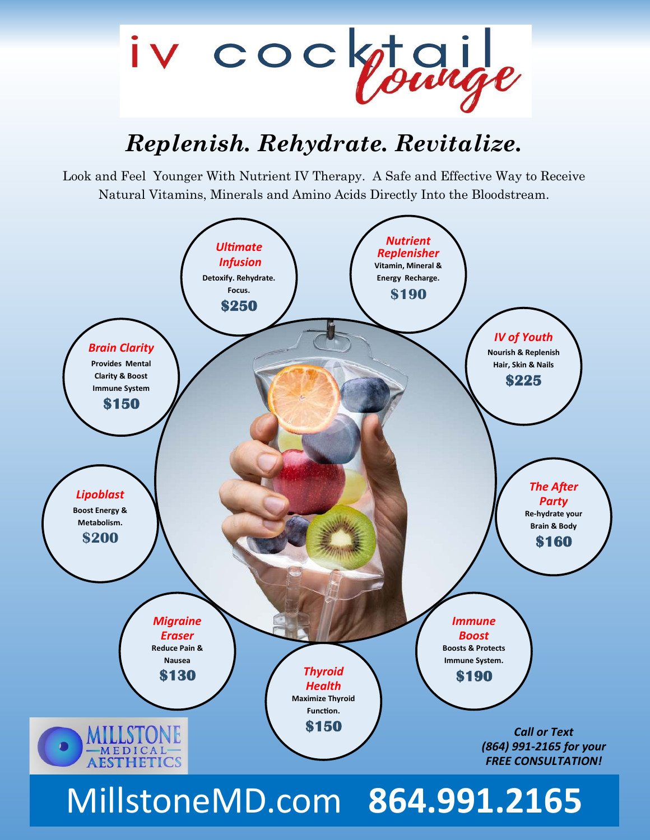

### *Replenish. Rehydrate. Revitalize.*

Look and Feel Younger With Nutrient IV Therapy. A Safe and Effective Way to Receive Natural Vitamins, Minerals and Amino Acids Directly Into the Bloodstream.



# MillstoneMD.com **864.991.2165**